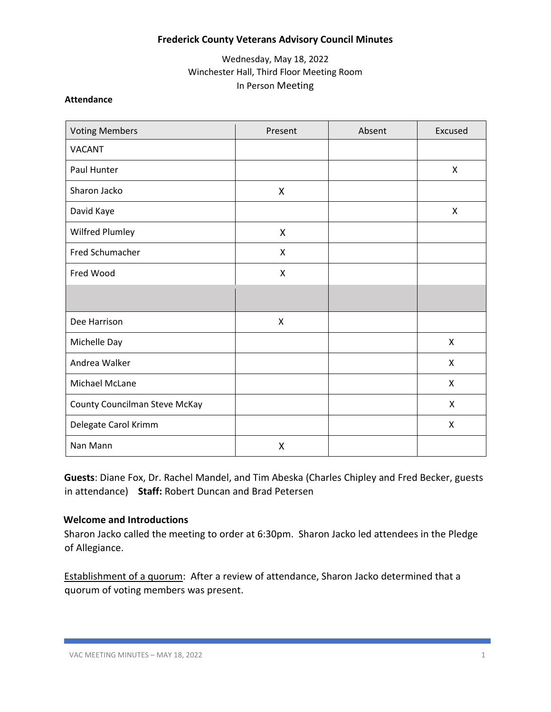## **Frederick County Veterans Advisory Council Minutes**

## Wednesday, May 18, 2022 Winchester Hall, Third Floor Meeting Room In Person Meeting

### **Attendance**

| <b>Voting Members</b>         | Present | Absent | Excused                   |
|-------------------------------|---------|--------|---------------------------|
| <b>VACANT</b>                 |         |        |                           |
| Paul Hunter                   |         |        | X                         |
| Sharon Jacko                  | X       |        |                           |
| David Kaye                    |         |        | X                         |
| Wilfred Plumley               | X       |        |                           |
| Fred Schumacher               | X       |        |                           |
| Fred Wood                     | X       |        |                           |
|                               |         |        |                           |
| Dee Harrison                  | X       |        |                           |
| Michelle Day                  |         |        | X                         |
| Andrea Walker                 |         |        | $\boldsymbol{\mathsf{X}}$ |
| Michael McLane                |         |        | X                         |
| County Councilman Steve McKay |         |        | X                         |
| Delegate Carol Krimm          |         |        | X                         |
| Nan Mann                      | X       |        |                           |

**Guests**: Diane Fox, Dr. Rachel Mandel, and Tim Abeska (Charles Chipley and Fred Becker, guests in attendance) **Staff:** Robert Duncan and Brad Petersen

#### **Welcome and Introductions**

Sharon Jacko called the meeting to order at 6:30pm. Sharon Jacko led attendees in the Pledge of Allegiance.

Establishment of a quorum: After a review of attendance, Sharon Jacko determined that a quorum of voting members was present.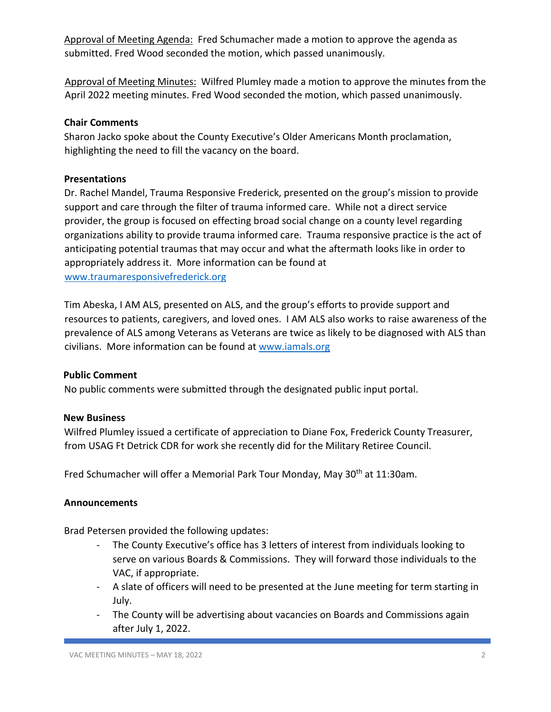Approval of Meeting Agenda: Fred Schumacher made a motion to approve the agenda as submitted. Fred Wood seconded the motion, which passed unanimously.

Approval of Meeting Minutes: Wilfred Plumley made a motion to approve the minutes from the April 2022 meeting minutes. Fred Wood seconded the motion, which passed unanimously.

## **Chair Comments**

Sharon Jacko spoke about the County Executive's Older Americans Month proclamation, highlighting the need to fill the vacancy on the board.

### **Presentations**

Dr. Rachel Mandel, Trauma Responsive Frederick, presented on the group's mission to provide support and care through the filter of trauma informed care. While not a direct service provider, the group is focused on effecting broad social change on a county level regarding organizations ability to provide trauma informed care. Trauma responsive practice is the act of anticipating potential traumas that may occur and what the aftermath looks like in order to appropriately address it. More information can be found at [www.traumaresponsivefrederick.org](http://www.traumaresponsivefrederick.org/) 

Tim Abeska, I AM ALS, presented on ALS, and the group's efforts to provide support and resources to patients, caregivers, and loved ones. I AM ALS also works to raise awareness of the prevalence of ALS among Veterans as Veterans are twice as likely to be diagnosed with ALS than civilians. More information can be found at [www.iamals.org](http://www.iamals.org/) 

# **Public Comment**

No public comments were submitted through the designated public input portal.

# **New Business**

Wilfred Plumley issued a certificate of appreciation to Diane Fox, Frederick County Treasurer, from USAG Ft Detrick CDR for work she recently did for the Military Retiree Council.

Fred Schumacher will offer a Memorial Park Tour Monday, Mav 30<sup>th</sup> at 11:30am.

# **Announcements**

Brad Petersen provided the following updates:

- The County Executive's office has 3 letters of interest from individuals looking to serve on various Boards & Commissions. They will forward those individuals to the VAC, if appropriate.
- A slate of officers will need to be presented at the June meeting for term starting in July.
- The County will be advertising about vacancies on Boards and Commissions again after July 1, 2022.